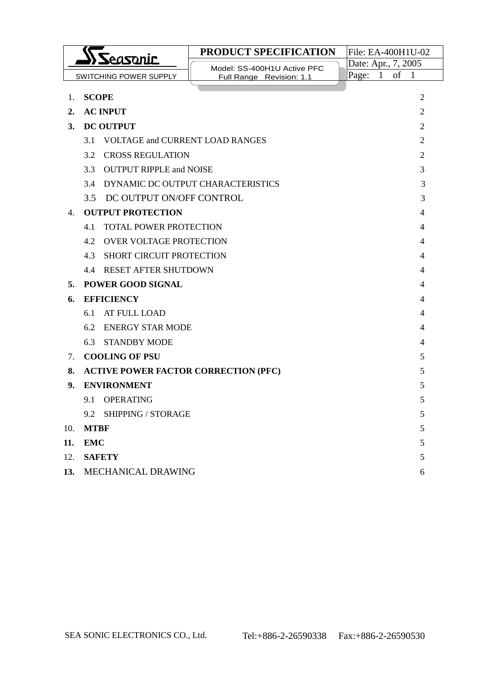|                  | ) Seasonic                                    | PRODUCT SPECIFICATION             | File: EA-400H1U-02          |                |
|------------------|-----------------------------------------------|-----------------------------------|-----------------------------|----------------|
|                  |                                               | Model: SS-400H1U Active PFC       | Date: Apr., 7, 2005         |                |
|                  | <b>SWITCHING POWER SUPPLY</b>                 | Full Range Revision: 1.1          | Page:<br>of<br>$\mathbf{1}$ | $\mathbf{1}$   |
| 1.               | <b>SCOPE</b>                                  |                                   |                             | $\overline{2}$ |
| $\overline{2}$ . | <b>AC INPUT</b>                               |                                   |                             | 2              |
| 3.               | <b>DC OUTPUT</b>                              |                                   |                             | 2              |
|                  | 3.1<br><b>VOLTAGE and CURRENT LOAD RANGES</b> |                                   |                             | 2              |
|                  | 3.2<br><b>CROSS REGULATION</b>                |                                   |                             | 2              |
|                  | <b>OUTPUT RIPPLE and NOISE</b><br>3.3         |                                   |                             | 3              |
|                  | 3.4                                           | DYNAMIC DC OUTPUT CHARACTERISTICS |                             | 3              |
|                  | 3.5<br>DC OUTPUT ON/OFF CONTROL               |                                   |                             | 3              |
| 4.               | <b>OUTPUT PROTECTION</b>                      |                                   |                             | 4              |
|                  | 4.1<br><b>TOTAL POWER PROTECTION</b>          |                                   |                             | 4              |
|                  | <b>OVER VOLTAGE PROTECTION</b><br>4.2         |                                   | 4                           |                |
|                  | <b>SHORT CIRCUIT PROTECTION</b><br>4.3        |                                   | 4                           |                |
|                  | <b>RESET AFTER SHUTDOWN</b><br>4.4            |                                   | 4                           |                |
| 5.               | <b>POWER GOOD SIGNAL</b>                      |                                   | 4                           |                |
| 6.               | <b>EFFICIENCY</b>                             |                                   | 4                           |                |
|                  | 6.1<br>AT FULL LOAD                           |                                   |                             | 4              |
|                  | 6.2<br><b>ENERGY STAR MODE</b>                |                                   |                             | 4              |
|                  | 6.3<br><b>STANDBY MODE</b>                    |                                   |                             | 4              |
| 7.               | <b>COOLING OF PSU</b>                         |                                   |                             | 5              |
| 8.               | <b>ACTIVE POWER FACTOR CORRECTION (PFC)</b>   |                                   |                             | 5              |
| 9.               | <b>ENVIRONMENT</b>                            |                                   |                             | 5              |
|                  | <b>OPERATING</b><br>9.1                       |                                   |                             | 5              |
|                  | 9.2 SHIPPING / STORAGE                        |                                   |                             | 5              |
| 10.              | <b>MTBF</b>                                   |                                   |                             | 5              |
| 11.              | <b>EMC</b>                                    |                                   |                             | 5              |
| 12.              | <b>SAFETY</b>                                 |                                   |                             | 5              |
| 13.              | MECHANICAL DRAWING<br>6                       |                                   |                             |                |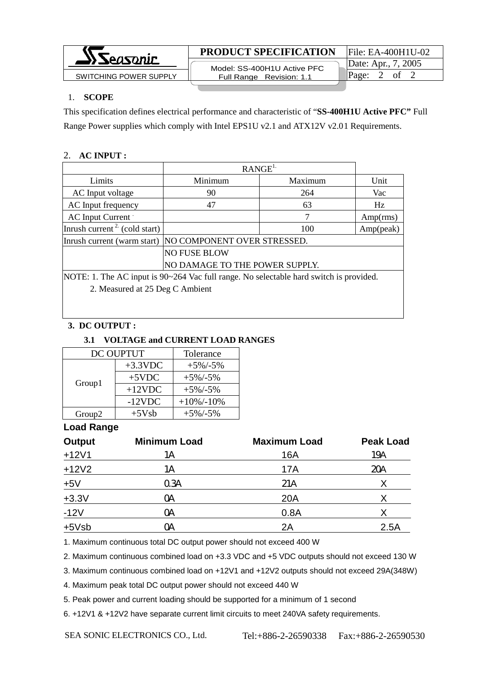

#### 1. **SCOPE**

This specification defines electrical performance and characteristic of "**SS-400H1U Active PFC"** Full Range Power supplies which comply with Intel EPS1U v2.1 and ATX12V v2.01 Requirements.

# 2. **AC INPUT :**

|                                                                                        | RANGE <sup>1</sup>              |         |           |
|----------------------------------------------------------------------------------------|---------------------------------|---------|-----------|
| Limits                                                                                 | Minimum                         | Maximum | Unit      |
| AC Input voltage                                                                       | 90                              | 264     | Vac       |
| AC Input frequency                                                                     | 47                              | 63      | Hz        |
| AC Input Current                                                                       |                                 | 7       | Amp(rms)  |
| Inrush current <sup>2</sup> (cold start)                                               |                                 | 100     | Amp(peak) |
| NO COMPONENT OVER STRESSED.<br>Inrush current (warm start)                             |                                 |         |           |
|                                                                                        | <b>NO FUSE BLOW</b>             |         |           |
| NO DAMAGE TO THE POWER SUPPLY.                                                         |                                 |         |           |
| NOTE: 1. The AC input is 90~264 Vac full range. No selectable hard switch is provided. |                                 |         |           |
|                                                                                        | 2. Measured at 25 Deg C Ambient |         |           |
|                                                                                        |                                 |         |           |

# **3. DC OUTPUT :**

#### **3.1 VOLTAGE and CURRENT LOAD RANGES** DC OUPTUT | Tolerance  $+3.3$ VDC  $+5\%$ /-5%  $+5VDC$   $+5\%/-5\%$  $+12VDC$   $+5\%/-5\%$ Group1  $-12VDC$  +10%/-10% Group2 +5Vsb +5%/-5%

# **Load Range**

| <b>Output</b> | <b>Minimum Load</b> | <b>Maximum Load</b> | <b>Peak Load</b> |
|---------------|---------------------|---------------------|------------------|
| $+12V1$       | 1Α                  | 16A                 | 19A              |
| $+12V2$       | 1Α                  | 17A                 | 20A              |
| $+5V$         | 0.3A                | 21A                 |                  |
| $+3.3V$       | ОA                  | 20A                 | Χ                |
| $-12V$        | ОA                  | 0.8A                |                  |
| $+5Vsb$       | OА                  | 2A                  | 2.5A             |

1. Maximum continuous total DC output power should not exceed 400 W

2. Maximum continuous combined load on +3.3 VDC and +5 VDC outputs should not exceed 130 W

3. Maximum continuous combined load on +12V1 and +12V2 outputs should not exceed 29A(348W)

4. Maximum peak total DC output power should not exceed 440 W

5. Peak power and current loading should be supported for a minimum of 1 second

6. +12V1 & +12V2 have separate current limit circuits to meet 240VA safety requirements.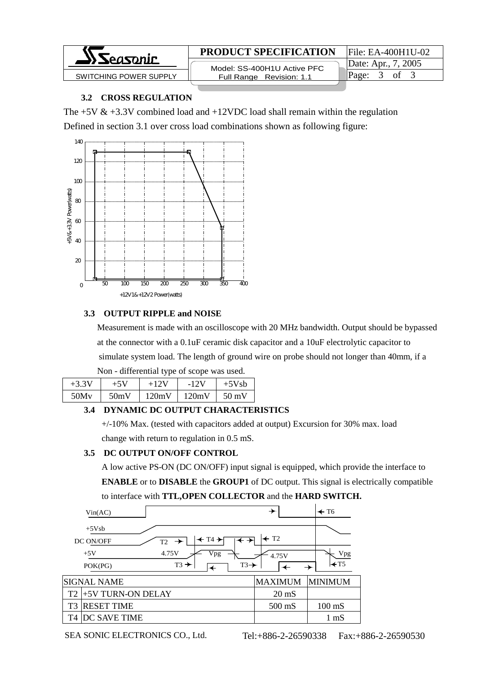

# **PRODUCT SPECIFICATION** File: EA-400H1U-02

 Model: SS-400H1U Active PFC SWITCHING POWER SUPPLY **Full Range Revision: 1.1** Page: 3 of 3

Date: Apr., 7, 2005

# **3.2 CROSS REGULATION**

The  $+5V & +3.3V$  combined load and  $+12VDC$  load shall remain within the regulation Defined in section 3.1 over cross load combinations shown as following figure:



#### **3.3 OUTPUT RIPPLE and NOISE**

 Measurement is made with an oscilloscope with 20 MHz bandwidth. Output should be bypassed at the connector with a 0.1uF ceramic disk capacitor and a 10uF electrolytic capacitor to simulate system load. The length of ground wire on probe should not longer than 40mm, if a Non - differential type of scope was used.

| $\frac{1}{2}$ |       |        |        |         |
|---------------|-------|--------|--------|---------|
| $+3.3V$       | $+5V$ | $+12V$ | $-12V$ | $+5Vsh$ |
| 50Mv          | 50mV  | 120mV  | 120mV  | 50 mV   |
|               |       |        |        |         |

# **3.4 DYNAMIC DC OUTPUT CHARACTERISTICS**

 +/-10% Max. (tested with capacitors added at output) Excursion for 30% max. load change with return to regulation in 0.5 mS.

# **3.5 DC OUTPUT ON/OFF CONTROL**

 A low active PS-ON (DC ON/OFF) input signal is equipped, which provide the interface to **ENABLE** or to **DISABLE** the **GROUP1** of DC output. This signal is electrically compatible to interface with **TTL,OPEN COLLECTOR** and the **HARD SWITCH.**

|                | Vin(AC)                                                                                                                                               | →                                    | $\leftarrow$ T6        |
|----------------|-------------------------------------------------------------------------------------------------------------------------------------------------------|--------------------------------------|------------------------|
|                | $+5Vsb$<br>$\leftarrow$ T4 $\rightarrow$<br>DC ON/OFF<br>$T2 \rightarrow$<br>4.75V<br>Vpg<br>$+5V$<br>$T3 \rightarrow$<br>$T3 \rightarrow$<br>POK(PG) | $\leftarrow$ T <sub>2</sub><br>4.75V | Vpg<br>$\mathsf{H}$ T5 |
|                | SIGNAL NAME                                                                                                                                           | <b>MAXIMUM</b>                       | <b>MINIMUM</b>         |
| T <sub>2</sub> | +5V TURN-ON DELAY                                                                                                                                     | $20 \text{ mS}$                      |                        |
| T3             | <b>RESET TIME</b>                                                                                                                                     | $500$ mS                             | $100 \text{ mS}$       |
| T4             | DC SAVE TIME                                                                                                                                          |                                      | $1 \text{ mS}$         |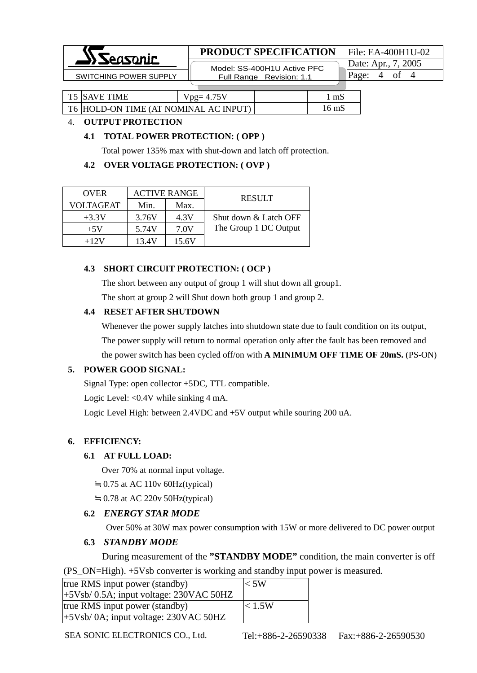

# **PRODUCT SPECIFICATION** File: EA-400H1U-02

 Model: SS-400H1U Active PFC SWITCHING POWER SUPPLY **Full Range Revision: 1.1** Page: 4 of 4

Date: Apr., 7, 2005

| <b>T5 SAVE TIME</b> | $v_{\text{pg}} = 4.75V$               | mS    |
|---------------------|---------------------------------------|-------|
|                     | T6 HOLD-ON TIME (AT NOMINAL AC INPUT) | 16 mS |

#### 4. **OUTPUT PROTECTION**

#### **4.1 TOTAL POWER PROTECTION: ( OPP )**

Total power 135% max with shut-down and latch off protection.

#### **4.2 OVER VOLTAGE PROTECTION: ( OVP )**

| <b>OVER</b>      |       | <b>ACTIVE RANGE</b> | <b>RESULT</b>         |  |
|------------------|-------|---------------------|-----------------------|--|
| <b>VOLTAGEAT</b> | Min.  | Max.                |                       |  |
| $+3.3V$          | 3.76V | 4.3V                | Shut down & Latch OFF |  |
| $+5V$            | 5.74V | 7.0V                | The Group 1 DC Output |  |
| $+12V$           | 13.4V | 15.6V               |                       |  |

#### **4.3 SHORT CIRCUIT PROTECTION: ( OCP )**

The short between any output of group 1 will shut down all group1.

The short at group 2 will Shut down both group 1 and group 2.

# **4.4 RESET AFTER SHUTDOWN**

 Whenever the power supply latches into shutdown state due to fault condition on its output, The power supply will return to normal operation only after the fault has been removed and the power switch has been cycled off/on with **A MINIMUM OFF TIME OF 20mS.** (PS-ON)

# **5. POWER GOOD SIGNAL:**

Signal Type: open collector +5DC, TTL compatible.

Logic Level: <0.4V while sinking 4 mA.

Logic Level High: between 2.4VDC and +5V output while souring 200 uA.

# **6. EFFICIENCY:**

# **6.1 AT FULL LOAD:**

Over 70% at normal input voltage.

0.75 at AC 110v 60Hz(typical)

0.78 at AC 220v 50Hz(typical)

# **6.2** *ENERGY STAR MODE*

Over 50% at 30W max power consumption with 15W or more delivered to DC power output

# **6.3** *STANDBY MODE*

During measurement of the **"STANDBY MODE"** condition, the main converter is off

(PS\_ON=High). +5Vsb converter is working and standby input power is measured.

| true RMS input power (standby)              | $<$ 5W |
|---------------------------------------------|--------|
| $(+5Vsb/ 0.5A; input voltage: 230VAC 50HZ)$ |        |
| true RMS input power (standby)              | < 1.5W |
| $(+5Vsb/0A;$ input voltage: 230VAC 50HZ     |        |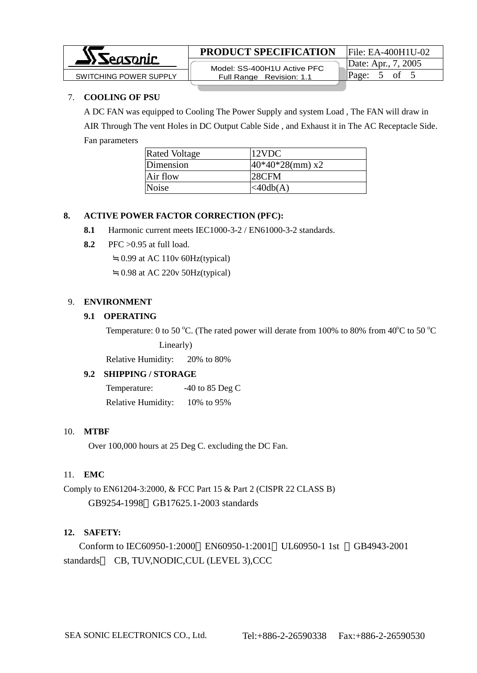

# **PRODUCT SPECIFICATION** File: EA-400H1U-02

 Model: SS-400H1U Active PFC Full Range Revision: 1.1  $S$ WITCHING POWER SUPPLY  $\parallel$  Full Range Revision: 1.1  $\parallel$  Page: 5 of 5

Date: Apr., 7, 2005

#### 7. **COOLING OF PSU**

A DC FAN was equipped to Cooling The Power Supply and system Load , The FAN will draw in AIR Through The vent Holes in DC Output Cable Side , and Exhaust it in The AC Receptacle Side. Fan parameters

| <b>Rated Voltage</b> | 12VDC              |
|----------------------|--------------------|
| Dimension            | $40*40*28$ (mm) x2 |
| Air flow             | 28CFM              |
| <b>Noise</b>         | $\lt$ 40db $(A)$   |

#### **8. ACTIVE POWER FACTOR CORRECTION (PFC):**

- **8.1** Harmonic current meets IEC1000-3-2 / EN61000-3-2 standards.
- **8.2** PFC >0.95 at full load.

0.99 at AC 110v 60Hz(typical)

0.98 at AC 220v 50Hz(typical)

#### 9. **ENVIRONMENT**

#### **9.1 OPERATING**

Temperature: 0 to 50 °C. (The rated power will derate from 100% to 80% from 40 °C to 50 °C Linearly)

Relative Humidity: 20% to 80%

# **9.2 SHIPPING / STORAGE**

Temperature:  $-40$  to 85 Deg C

Relative Humidity: 10% to 95%

#### 10. **MTBF**

Over 100,000 hours at 25 Deg C. excluding the DC Fan.

#### 11. **EMC**

Comply to EN61204-3:2000, & FCC Part 15 & Part 2 (CISPR 22 CLASS B) GB9254-1998 GB17625.1-2003 standards

# **12. SAFETY:**

Conform to IEC60950-1:2000 EN60950-1:2001 UL60950-1 1st GB4943-2001 standards CB, TUV,NODIC,CUL (LEVEL 3),CCC